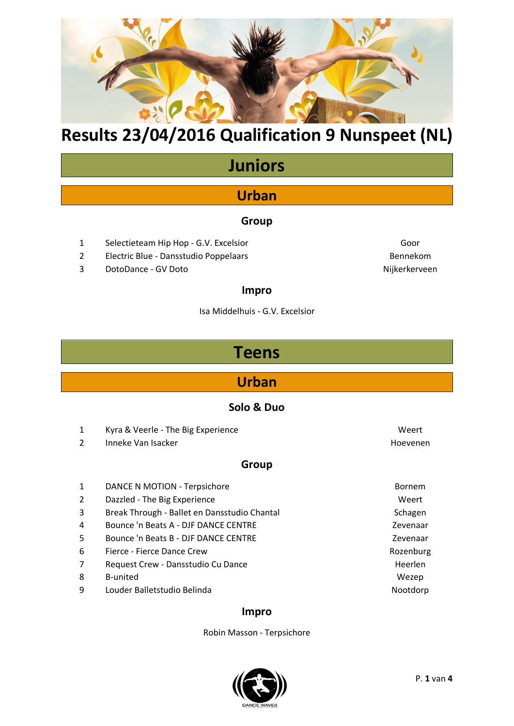

# **Results 23/04/2016 Qualification 9 Nunspeet (NL)**

# **Juniors**

### **Urban**

#### **Group**

- 1 Selectieteam Hip Hop G.V. Excelsior Goor Goor
- 2 Electric Blue Dansstudio Poppelaars Bennekom
- 3 DotoDance GV Doto Nijkerkerveen

### **Impro**

Isa Middelhuis - G.V. Excelsior

## **Teens**

### **Urban**

#### **Solo & Duo**

- 1 Kyra & Veerle The Big Experience Weert 2 Inneke Van Isacker Hoevenen Hoevenen **Group** 1 DANCE N MOTION - Terpsichore **Bornem** Bornem 2 Dazzled - The Big Experience Weert 3 Break Through - Ballet en Dansstudio Chantal Schagen Schagen
- 4 Bounce 'n Beats A DJF DANCE CENTRE Zevenaar 5 Bounce 'n Beats B - DJF DANCE CENTRE Zevenaar
- 6 Fierce Fierce Dance Crew **Rozenburg Rozenburg** Rozenburg
- 7 Request Crew Dansstudio Cu Dance **Heerlen** Heerlen
- 8 B-united Wezep
- 9 Louder Balletstudio Belinda Nootdorp Nootdorp

#### **Impro**

Robin Masson - Terpsichore

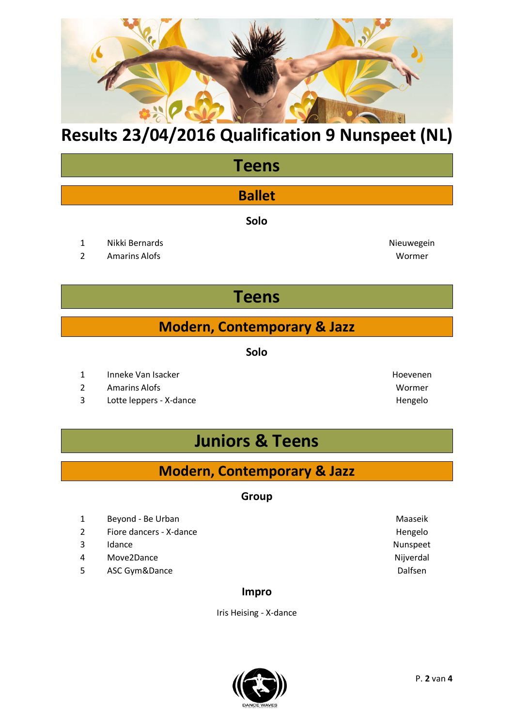

# **Results 23/04/2016 Qualification 9 Nunspeet (NL)**

## **Teens**

### **Ballet**

**Solo**

- 1 Nikki Bernards **Nieuwegein** Nieuwegein
- 2 Amarins Alofs Wormer

# **Teens**

### **Modern, Contemporary & Jazz**

**Solo**

- 1 Inneke Van Isacker Hoevenen
- 2 Amarins Alofs Wormer
- 3 Lotte leppers X-dance **Hengelo** Hengelo

# **Juniors & Teens**

### **Modern, Contemporary & Jazz**

#### **Group**

- 1 Beyond Be Urban Maaseik
- 2 Fiore dancers X-dance Hengelo
- 3 Idance **Nunspeet**
- 4 Move2Dance Nijverdal
- 5 ASC Gym&Dance **Dalfsen**

#### **Impro**

Iris Heising - X-dance



P. **2** van **4**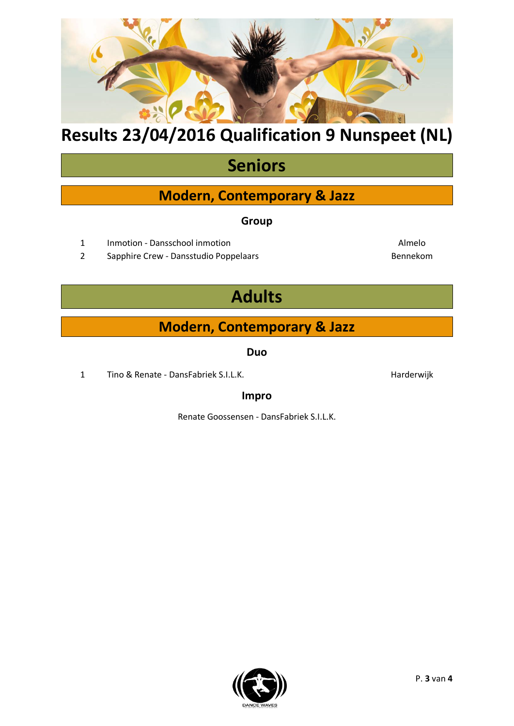# **Modern, Contemporary & Jazz Duo**

**Adults**

1 Tino & Renate - DansFabriek S.I.L.K. **Harderwijk** Harderwijk

### **Impro**

Renate Goossensen - DansFabriek S.I.L.K.

# **Results 23/04/2016 Qualification 9 Nunspeet (NL)**

# **Seniors**

### **Modern, Contemporary & Jazz**

#### **Group**

- 1 Inmotion Dansschool inmotion Almelo
- 2 Sapphire Crew Dansstudio Poppelaars Bennekom
	-